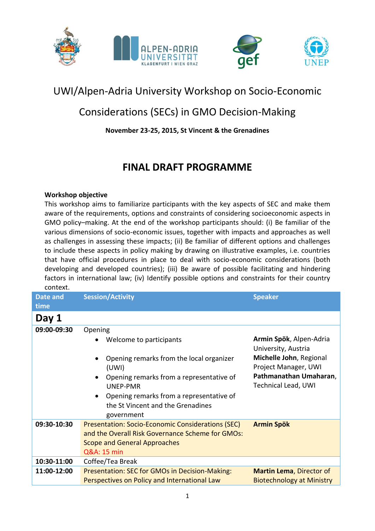



# UWI/Alpen-Adria University Workshop on Socio-Economic

## Considerations (SECs) in GMO Decision-Making

### **November 23-25, 2015, St Vincent & the Grenadines**

### **FINAL DRAFT PROGRAMME**

#### **Workshop objective**

This workshop aims to familiarize participants with the key aspects of SEC and make them aware of the requirements, options and constraints of considering socioeconomic aspects in GMO policy–making. At the end of the workshop participants should: (i) Be familiar of the various dimensions of socio-economic issues, together with impacts and approaches as well as challenges in assessing these impacts; (ii) Be familiar of different options and challenges to include these aspects in policy making by drawing on illustrative examples, i.e. countries that have official procedures in place to deal with socio-economic considerations (both developing and developed countries); (iii) Be aware of possible facilitating and hindering factors in international law; (iv) Identify possible options and constraints for their country context.

| Date and<br>time | <b>Session/Activity</b>                                                                                                                                                                                                                                           | <b>Speaker</b>                                                                                                                                            |
|------------------|-------------------------------------------------------------------------------------------------------------------------------------------------------------------------------------------------------------------------------------------------------------------|-----------------------------------------------------------------------------------------------------------------------------------------------------------|
| Day 1            |                                                                                                                                                                                                                                                                   |                                                                                                                                                           |
| 09:00-09:30      | Opening<br>Welcome to participants<br>Opening remarks from the local organizer<br>(UWI)<br>Opening remarks from a representative of<br>$\bullet$<br><b>UNEP-PMR</b><br>Opening remarks from a representative of<br>$\bullet$<br>the St Vincent and the Grenadines | Armin Spök, Alpen-Adria<br>University, Austria<br>Michelle John, Regional<br>Project Manager, UWI<br>Pathmanathan Umaharan,<br><b>Technical Lead, UWI</b> |
| 09:30-10:30      | government<br><b>Presentation: Socio-Economic Considerations (SEC)</b>                                                                                                                                                                                            | <b>Armin Spök</b>                                                                                                                                         |
|                  | and the Overall Risk Governance Scheme for GMOs:<br><b>Scope and General Approaches</b><br>Q&A: 15 min                                                                                                                                                            |                                                                                                                                                           |
| 10:30-11:00      | Coffee/Tea Break                                                                                                                                                                                                                                                  |                                                                                                                                                           |
| 11:00-12:00      | Presentation: SEC for GMOs in Decision-Making:<br>Perspectives on Policy and International Law                                                                                                                                                                    | <b>Martin Lema, Director of</b><br><b>Biotechnology at Ministry</b>                                                                                       |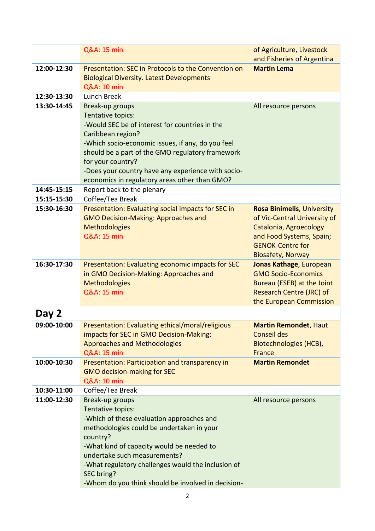|             | Q&A: 15 min                                                                                           | of Agriculture, Livestock<br>and Fisheries of Argentina |
|-------------|-------------------------------------------------------------------------------------------------------|---------------------------------------------------------|
| 12:00-12:30 | Presentation: SEC in Protocols to the Convention on                                                   | <b>Martin Lema</b>                                      |
|             | <b>Biological Diversity. Latest Developments</b>                                                      |                                                         |
|             | Q&A: 10 min                                                                                           |                                                         |
| 12:30-13:30 | Lunch Break                                                                                           |                                                         |
| 13:30-14:45 | Break-up groups                                                                                       | All resource persons                                    |
|             | Tentative topics:                                                                                     |                                                         |
|             | -Would SEC be of interest for countries in the                                                        |                                                         |
|             | Caribbean region?                                                                                     |                                                         |
|             | -Which socio-economic issues, if any, do you feel<br>should be a part of the GMO regulatory framework |                                                         |
|             | for your country?                                                                                     |                                                         |
|             | -Does your country have any experience with socio-                                                    |                                                         |
|             | economics in regulatory areas other than GMO?                                                         |                                                         |
| 14:45-15:15 | Report back to the plenary                                                                            |                                                         |
| 15:15-15:30 | Coffee/Tea Break                                                                                      |                                                         |
| 15:30-16:30 | Presentation: Evaluating social impacts for SEC in                                                    | <b>Rosa Binimelis, University</b>                       |
|             | <b>GMO Decision-Making: Approaches and</b>                                                            | of Vic-Central University of                            |
|             | <b>Methodologies</b>                                                                                  | Catalonia, Agroecology                                  |
|             | Q&A: 15 min                                                                                           | and Food Systems, Spain;                                |
|             |                                                                                                       | <b>GENOK-Centre for</b>                                 |
|             |                                                                                                       | <b>Biosafety, Norway</b>                                |
| 16:30-17:30 | Presentation: Evaluating economic impacts for SEC                                                     | Jonas Kathage, European                                 |
|             | in GMO Decision-Making: Approaches and                                                                | <b>GMO Socio-Economics</b>                              |
|             | <b>Methodologies</b>                                                                                  | Bureau (ESEB) at the Joint                              |
|             | Q&A: 15 min                                                                                           | <b>Research Centre (JRC) of</b>                         |
|             |                                                                                                       | the European Commission                                 |
| Day 2       |                                                                                                       |                                                         |
| 09:00-10:00 | Presentation: Evaluating ethical/moral/religious                                                      | <b>Martin Remondet, Haut</b>                            |
|             | impacts for SEC in GMO Decision-Making:                                                               | <b>Conseil des</b>                                      |
|             | <b>Approaches and Methodologies</b>                                                                   | Biotechnologies (HCB),                                  |
|             | <b>Q&amp;A: 15 min</b>                                                                                | <b>France</b>                                           |
| 10:00-10:30 | Presentation: Participation and transparency in<br><b>GMO decision-making for SEC</b>                 | <b>Martin Remondet</b>                                  |
|             | <b>Q&amp;A: 10 min</b>                                                                                |                                                         |
| 10:30-11:00 | Coffee/Tea Break                                                                                      |                                                         |
| 11:00-12:30 | Break-up groups                                                                                       | All resource persons                                    |
|             | Tentative topics:                                                                                     |                                                         |
|             | -Which of these evaluation approaches and                                                             |                                                         |
|             | methodologies could be undertaken in your                                                             |                                                         |
|             | country?                                                                                              |                                                         |
|             | -What kind of capacity would be needed to                                                             |                                                         |
|             | undertake such measurements?                                                                          |                                                         |
|             | -What regulatory challenges would the inclusion of                                                    |                                                         |
|             | SEC bring?                                                                                            |                                                         |
|             | -Whom do you think should be involved in decision-                                                    |                                                         |